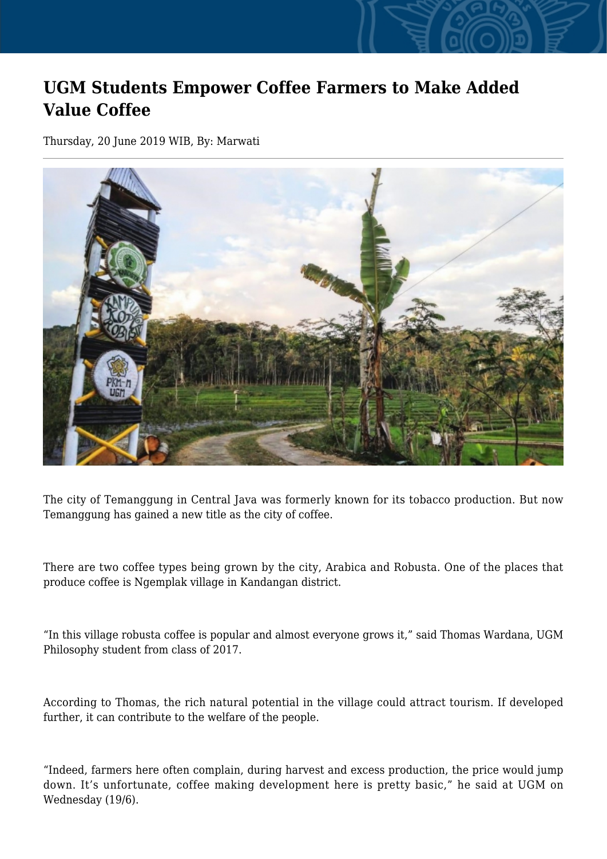## **UGM Students Empower Coffee Farmers to Make Added Value Coffee**

Thursday, 20 June 2019 WIB, By: Marwati



The city of Temanggung in Central Java was formerly known for its tobacco production. But now Temanggung has gained a new title as the city of coffee.

There are two coffee types being grown by the city, Arabica and Robusta. One of the places that produce coffee is Ngemplak village in Kandangan district.

"In this village robusta coffee is popular and almost everyone grows it," said Thomas Wardana, UGM Philosophy student from class of 2017.

According to Thomas, the rich natural potential in the village could attract tourism. If developed further, it can contribute to the welfare of the people.

"Indeed, farmers here often complain, during harvest and excess production, the price would jump down. It's unfortunate, coffee making development here is pretty basic," he said at UGM on Wednesday (19/6).